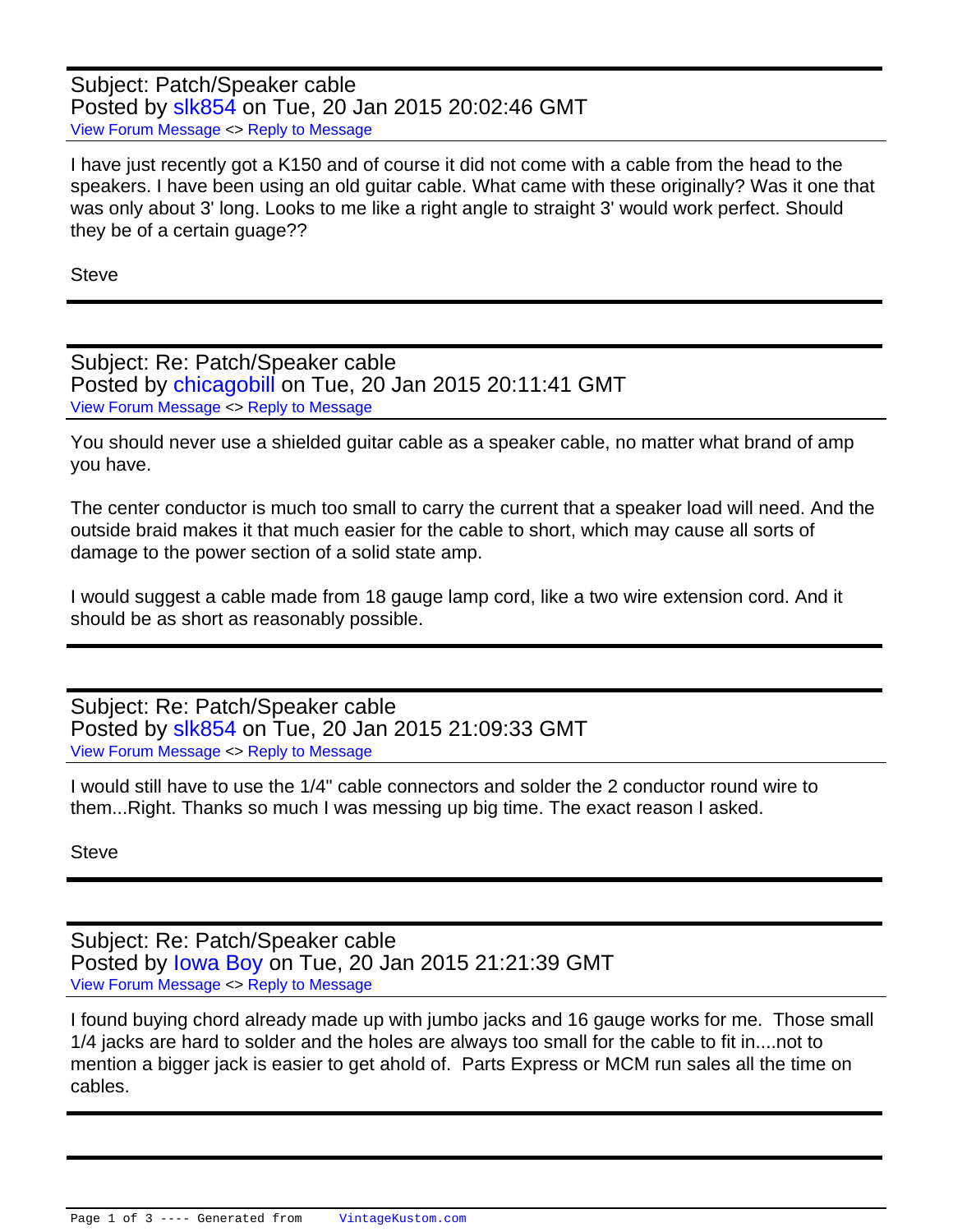Subject: Patch/Speaker cable Posted by [slk854](http://www.vintagekustom.com/FUDforum/index.php?t=usrinfo&id=17366) on Tue, 20 Jan 2015 20:02:46 GMT [View Forum Message](http://www.vintagekustom.com/FUDforum/index.php?t=rview&th=3970&goto=22180#msg_22180) <> [Reply to Message](http://www.vintagekustom.com/FUDforum/index.php?t=post&reply_to=22180)

I have just recently got a K150 and of course it did not come with a cable from the head to the speakers. I have been using an old guitar cable. What came with these originally? Was it one that was only about 3' long. Looks to me like a right angle to straight 3' would work perfect. Should they be of a certain guage??

**Steve** 

Subject: Re: Patch/Speaker cable Posted by [chicagobill](http://www.vintagekustom.com/FUDforum/index.php?t=usrinfo&id=129) on Tue, 20 Jan 2015 20:11:41 GMT [View Forum Message](http://www.vintagekustom.com/FUDforum/index.php?t=rview&th=3970&goto=22182#msg_22182) <> [Reply to Message](http://www.vintagekustom.com/FUDforum/index.php?t=post&reply_to=22182)

You should never use a shielded guitar cable as a speaker cable, no matter what brand of amp you have.

The center conductor is much too small to carry the current that a speaker load will need. And the outside braid makes it that much easier for the cable to short, which may cause all sorts of damage to the power section of a solid state amp.

I would suggest a cable made from 18 gauge lamp cord, like a two wire extension cord. And it should be as short as reasonably possible.

Subject: Re: Patch/Speaker cable Posted by [slk854](http://www.vintagekustom.com/FUDforum/index.php?t=usrinfo&id=17366) on Tue, 20 Jan 2015 21:09:33 GMT [View Forum Message](http://www.vintagekustom.com/FUDforum/index.php?t=rview&th=3970&goto=22183#msg_22183) <> [Reply to Message](http://www.vintagekustom.com/FUDforum/index.php?t=post&reply_to=22183)

I would still have to use the 1/4" cable connectors and solder the 2 conductor round wire to them...Right. Thanks so much I was messing up big time. The exact reason I asked.

Steve

Subject: Re: Patch/Speaker cable Posted by lowa Boy on Tue, 20 Jan 2015 21:21:39 GMT [View Forum Message](http://www.vintagekustom.com/FUDforum/index.php?t=rview&th=3970&goto=22184#msg_22184) <> [Reply to Message](http://www.vintagekustom.com/FUDforum/index.php?t=post&reply_to=22184)

I found buying chord already made up with jumbo jacks and 16 gauge works for me. Those small 1/4 jacks are hard to solder and the holes are always too small for the cable to fit in....not to mention a bigger jack is easier to get ahold of. Parts Express or MCM run sales all the time on cables.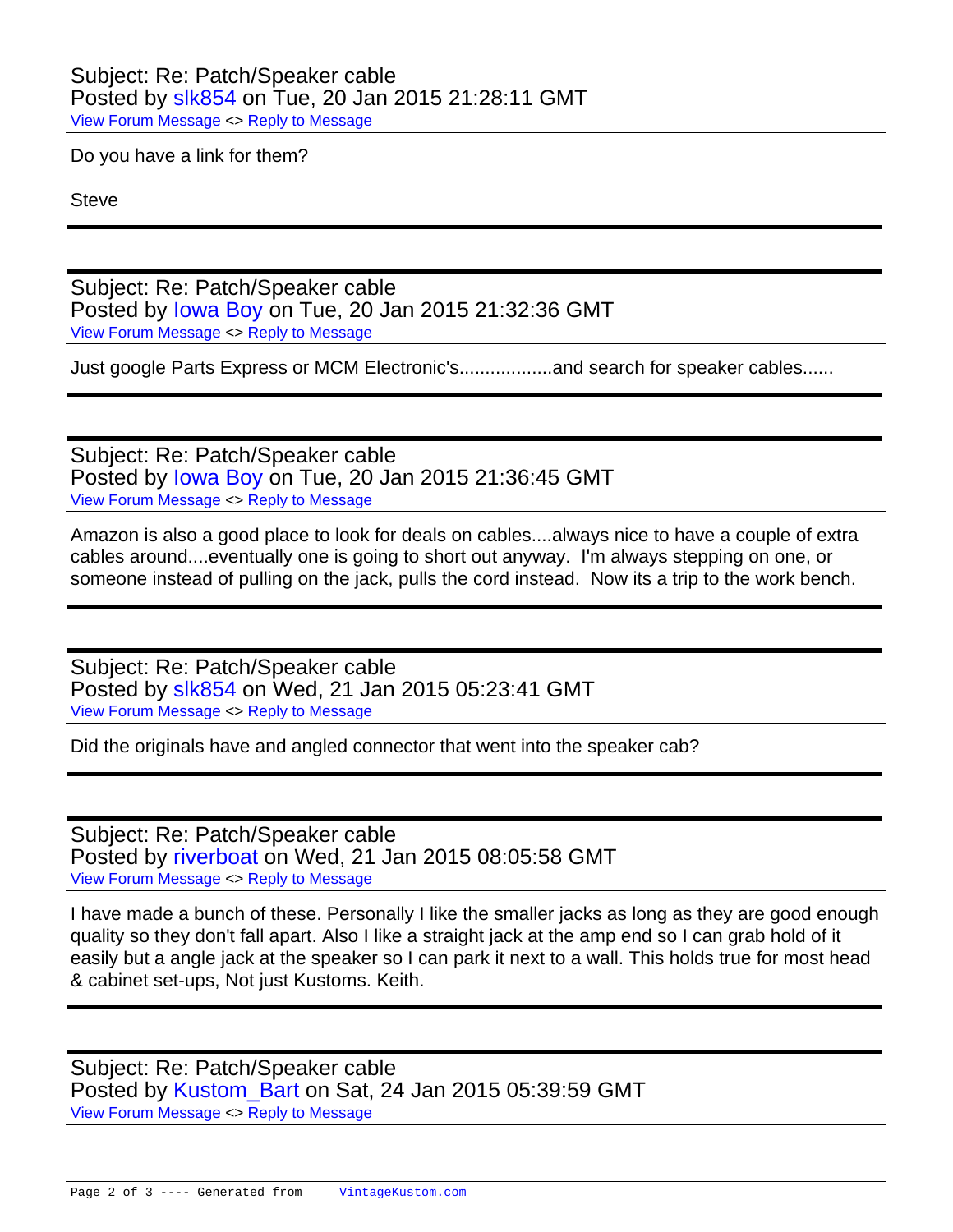## Subject: Re: Patch/Speaker cable Posted by [slk854](http://www.vintagekustom.com/FUDforum/index.php?t=usrinfo&id=17366) on Tue, 20 Jan 2015 21:28:11 GMT [View Forum Message](http://www.vintagekustom.com/FUDforum/index.php?t=rview&th=3970&goto=22185#msg_22185) <> [Reply to Message](http://www.vintagekustom.com/FUDforum/index.php?t=post&reply_to=22185)

Do you have a link for them?

**Steve** 

Subject: Re: Patch/Speaker cable Posted by [Iowa Boy](http://www.vintagekustom.com/FUDforum/index.php?t=usrinfo&id=17280) on Tue, 20 Jan 2015 21:32:36 GMT [View Forum Message](http://www.vintagekustom.com/FUDforum/index.php?t=rview&th=3970&goto=22186#msg_22186) <> [Reply to Message](http://www.vintagekustom.com/FUDforum/index.php?t=post&reply_to=22186)

Just google Parts Express or MCM Electronic's..................and search for speaker cables......

Subject: Re: Patch/Speaker cable Posted by [Iowa Boy](http://www.vintagekustom.com/FUDforum/index.php?t=usrinfo&id=17280) on Tue, 20 Jan 2015 21:36:45 GMT [View Forum Message](http://www.vintagekustom.com/FUDforum/index.php?t=rview&th=3970&goto=22187#msg_22187) <> [Reply to Message](http://www.vintagekustom.com/FUDforum/index.php?t=post&reply_to=22187)

Amazon is also a good place to look for deals on cables....always nice to have a couple of extra cables around....eventually one is going to short out anyway. I'm always stepping on one, or someone instead of pulling on the jack, pulls the cord instead. Now its a trip to the work bench.

Subject: Re: Patch/Speaker cable Posted by [slk854](http://www.vintagekustom.com/FUDforum/index.php?t=usrinfo&id=17366) on Wed, 21 Jan 2015 05:23:41 GMT [View Forum Message](http://www.vintagekustom.com/FUDforum/index.php?t=rview&th=3970&goto=22201#msg_22201) <> [Reply to Message](http://www.vintagekustom.com/FUDforum/index.php?t=post&reply_to=22201)

Did the originals have and angled connector that went into the speaker cab?

Subject: Re: Patch/Speaker cable Posted by [riverboat](http://www.vintagekustom.com/FUDforum/index.php?t=usrinfo&id=17348) on Wed, 21 Jan 2015 08:05:58 GMT [View Forum Message](http://www.vintagekustom.com/FUDforum/index.php?t=rview&th=3970&goto=22202#msg_22202) <> [Reply to Message](http://www.vintagekustom.com/FUDforum/index.php?t=post&reply_to=22202)

I have made a bunch of these. Personally I like the smaller jacks as long as they are good enough quality so they don't fall apart. Also I like a straight jack at the amp end so I can grab hold of it easily but a angle jack at the speaker so I can park it next to a wall. This holds true for most head & cabinet set-ups, Not just Kustoms. Keith.

Subject: Re: Patch/Speaker cable Posted by Kustom Bart on Sat, 24 Jan 2015 05:39:59 GMT [View Forum Message](http://www.vintagekustom.com/FUDforum/index.php?t=rview&th=3970&goto=22225#msg_22225) <> [Reply to Message](http://www.vintagekustom.com/FUDforum/index.php?t=post&reply_to=22225)